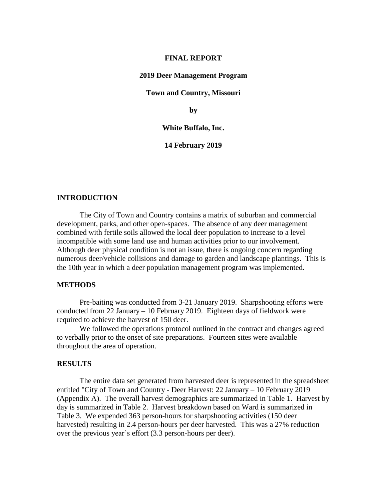#### **FINAL REPORT**

### **2019 Deer Management Program**

**Town and Country, Missouri**

**by**

#### **White Buffalo, Inc.**

**14 February 2019**

### **INTRODUCTION**

The City of Town and Country contains a matrix of suburban and commercial development, parks, and other open-spaces. The absence of any deer management combined with fertile soils allowed the local deer population to increase to a level incompatible with some land use and human activities prior to our involvement. Although deer physical condition is not an issue, there is ongoing concern regarding numerous deer/vehicle collisions and damage to garden and landscape plantings. This is the 10th year in which a deer population management program was implemented.

### **METHODS**

Pre-baiting was conducted from 3-21 January 2019. Sharpshooting efforts were conducted from 22 January – 10 February 2019. Eighteen days of fieldwork were required to achieve the harvest of 150 deer.

We followed the operations protocol outlined in the contract and changes agreed to verbally prior to the onset of site preparations. Fourteen sites were available throughout the area of operation.

### **RESULTS**

The entire data set generated from harvested deer is represented in the spreadsheet entitled "City of Town and Country - Deer Harvest: 22 January – 10 February 2019 (Appendix A). The overall harvest demographics are summarized in Table 1. Harvest by day is summarized in Table 2. Harvest breakdown based on Ward is summarized in Table 3. We expended 363 person-hours for sharpshooting activities (150 deer harvested) resulting in 2.4 person-hours per deer harvested. This was a 27% reduction over the previous year's effort (3.3 person-hours per deer).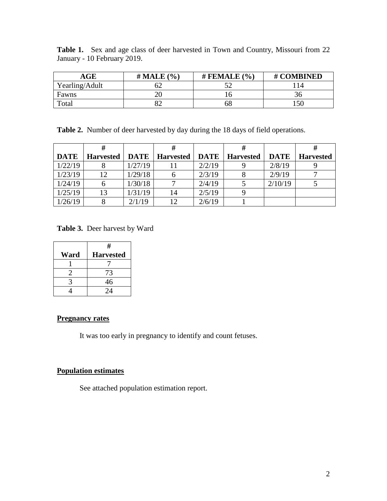| <b>Table 1.</b> Sex and age class of deer harvested in Town and Country, Missouri from 22 |  |  |  |  |  |  |  |
|-------------------------------------------------------------------------------------------|--|--|--|--|--|--|--|
| January - 10 February 2019.                                                               |  |  |  |  |  |  |  |

| $\mathbf{AGE}$ | # MALE $(\% )$ | # FEMALE $(\% )$ | # COMBINED |
|----------------|----------------|------------------|------------|
| Yearling/Adult |                |                  |            |
| Fawns          |                |                  |            |
| Total          |                | ნბ               | 150        |

**Table 2.** Number of deer harvested by day during the 18 days of field operations.

| <b>DATE</b> | <b>Harvested</b> | DATE    | <b>Harvested</b> | DATE   | <b>Harvested</b> | <b>DATE</b> | <b>Harvested</b> |
|-------------|------------------|---------|------------------|--------|------------------|-------------|------------------|
| 1/22/19     |                  | 1/27/19 |                  | 2/2/19 |                  | 2/8/19      |                  |
| 1/23/19     | 12               | 1/29/18 |                  | 2/3/19 |                  | 2/9/19      |                  |
| 1/24/19     |                  | 1/30/18 |                  | 2/4/19 |                  | 2/10/19     |                  |
| 1/25/19     | 13               | 1/31/19 | 14               | 2/5/19 |                  |             |                  |
| 1/26/19     |                  | 2/1/19  | 12               | 2/6/19 |                  |             |                  |

**Table 3.** Deer harvest by Ward

|      | #                |
|------|------------------|
| Ward | <b>Harvested</b> |
|      |                  |
|      | 73               |
|      | 46               |
|      | 24               |

### **Pregnancy rates**

It was too early in pregnancy to identify and count fetuses.

### **Population estimates**

See attached population estimation report.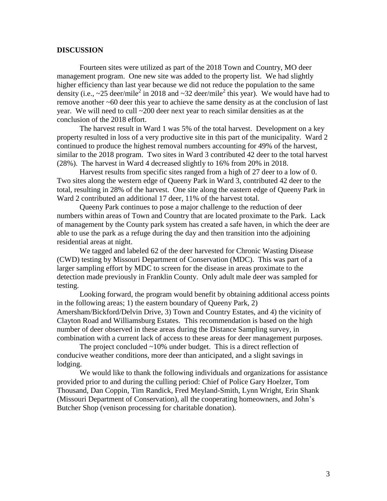### **DISCUSSION**

Fourteen sites were utilized as part of the 2018 Town and Country, MO deer management program. One new site was added to the property list. We had slightly higher efficiency than last year because we did not reduce the population to the same density (i.e.,  $\sim$ 25 deer/mile<sup>2</sup> in 2018 and  $\sim$ 32 deer/mile<sup>2</sup> this year). We would have had to remove another ~60 deer this year to achieve the same density as at the conclusion of last year. We will need to cull ~200 deer next year to reach similar densities as at the conclusion of the 2018 effort.

The harvest result in Ward 1 was 5% of the total harvest. Development on a key property resulted in loss of a very productive site in this part of the municipality. Ward 2 continued to produce the highest removal numbers accounting for 49% of the harvest, similar to the 2018 program. Two sites in Ward 3 contributed 42 deer to the total harvest (28%). The harvest in Ward 4 decreased slightly to 16% from 20% in 2018.

Harvest results from specific sites ranged from a high of 27 deer to a low of 0. Two sites along the western edge of Queeny Park in Ward 3, contributed 42 deer to the total, resulting in 28% of the harvest. One site along the eastern edge of Queeny Park in Ward 2 contributed an additional 17 deer, 11% of the harvest total.

Queeny Park continues to pose a major challenge to the reduction of deer numbers within areas of Town and Country that are located proximate to the Park. Lack of management by the County park system has created a safe haven, in which the deer are able to use the park as a refuge during the day and then transition into the adjoining residential areas at night.

We tagged and labeled 62 of the deer harvested for Chronic Wasting Disease (CWD) testing by Missouri Department of Conservation (MDC). This was part of a larger sampling effort by MDC to screen for the disease in areas proximate to the detection made previously in Franklin County. Only adult male deer was sampled for testing.

Looking forward, the program would benefit by obtaining additional access points in the following areas; 1) the eastern boundary of Queeny Park, 2) Amersham/Bickford/Delvin Drive, 3) Town and Country Estates, and 4) the vicinity of Clayton Road and Williamsburg Estates. This recommendation is based on the high number of deer observed in these areas during the Distance Sampling survey, in combination with a current lack of access to these areas for deer management purposes.

The project concluded  $\sim$ 10% under budget. This is a direct reflection of conducive weather conditions, more deer than anticipated, and a slight savings in lodging.

We would like to thank the following individuals and organizations for assistance provided prior to and during the culling period: Chief of Police Gary Hoelzer, Tom Thousand, Dan Coppin, Tim Randick, Fred Meyland-Smith, Lynn Wright, Erin Shank (Missouri Department of Conservation), all the cooperating homeowners, and John's Butcher Shop (venison processing for charitable donation).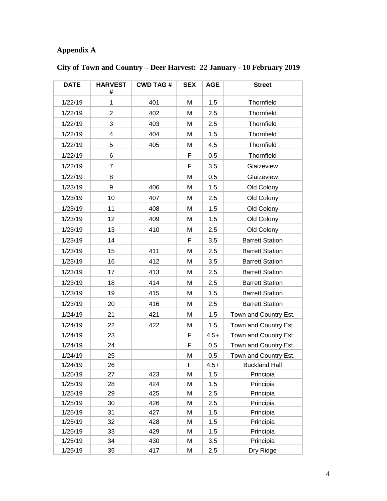## **Appendix A**

| <b>DATE</b> | <b>HARVEST</b><br>#     | <b>CWD TAG#</b> | <b>SEX</b> | <b>AGE</b> | <b>Street</b>          |  |
|-------------|-------------------------|-----------------|------------|------------|------------------------|--|
| 1/22/19     | 1                       | 401             | М          | 1.5        | Thornfield             |  |
| 1/22/19     | $\overline{2}$          | 402             | M          | 2.5        | Thornfield             |  |
| 1/22/19     | 3                       | 403             | M          | 2.5        | Thornfield             |  |
| 1/22/19     | $\overline{\mathbf{4}}$ | 404             | M          | 1.5        | Thornfield             |  |
| 1/22/19     | 5                       | 405             | M          | 4.5        | Thornfield             |  |
| 1/22/19     | 6                       |                 | F          | 0.5        | Thornfield             |  |
| 1/22/19     | $\overline{7}$          |                 | F          | 3.5        | Glaizeview             |  |
| 1/22/19     | 8                       |                 | M          | 0.5        | Glaizeview             |  |
| 1/23/19     | 9                       | 406             | М          | 1.5        | Old Colony             |  |
| 1/23/19     | 10                      | 407             | M          | 2.5        | Old Colony             |  |
| 1/23/19     | 11                      | 408             | М          | 1.5        | Old Colony             |  |
| 1/23/19     | 12                      | 409             | M          | 1.5        | Old Colony             |  |
| 1/23/19     | 13                      | 410             | M          | 2.5        | Old Colony             |  |
| 1/23/19     | 14                      |                 | F          | 3.5        | <b>Barrett Station</b> |  |
| 1/23/19     | 15                      | 411             | M          | 2.5        | <b>Barrett Station</b> |  |
| 1/23/19     | 16                      | 412             | М          | 3.5        | <b>Barrett Station</b> |  |
| 1/23/19     | 17                      | 413             | M          | 2.5        | <b>Barrett Station</b> |  |
| 1/23/19     | 18                      | 414             | M          | 2.5        | <b>Barrett Station</b> |  |
| 1/23/19     | 19                      | 415             | M          | 1.5        | <b>Barrett Station</b> |  |
| 1/23/19     | 20                      | 416             | M          | 2.5        | <b>Barrett Station</b> |  |
| 1/24/19     | 21                      | 421             | M          | 1.5        | Town and Country Est.  |  |
| 1/24/19     | 22                      | 422             | М          | 1.5        | Town and Country Est.  |  |
| 1/24/19     | 23                      |                 | F          | $4.5+$     | Town and Country Est.  |  |
| 1/24/19     | 24                      |                 | F          | 0.5        | Town and Country Est.  |  |
| 1/24/19     | 25                      |                 | M          | 0.5        | Town and Country Est.  |  |
| 1/24/19     | 26                      |                 | F          | $4.5+$     | <b>Buckland Hall</b>   |  |
| 1/25/19     | 27                      | 423             | Μ          | 1.5        | Principia              |  |
| 1/25/19     | 28                      | 424             | Μ          | 1.5        | Principia              |  |
| 1/25/19     | 29                      | 425             | Μ          | 2.5        | Principia              |  |
| 1/25/19     | 30                      | 426             | M          | 2.5        | Principia              |  |
| 1/25/19     | 31                      | 427             | Μ          | 1.5        | Principia              |  |
| 1/25/19     | 32                      | 428             | M          | 1.5        | Principia              |  |
| 1/25/19     | 33                      | 429             | Μ          | 1.5        | Principia              |  |
| 1/25/19     | 34                      | 430             | M          | 3.5        | Principia              |  |
| 1/25/19     | 35                      | 417             | Μ          | 2.5        | Dry Ridge              |  |

# **City of Town and Country – Deer Harvest: 22 January - 10 February 2019**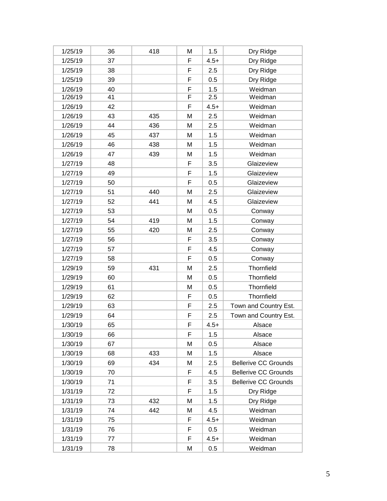| 1/25/19 | 36 | 418 | М  | 1.5    | Dry Ridge                   |  |
|---------|----|-----|----|--------|-----------------------------|--|
| 1/25/19 | 37 |     | F  | $4.5+$ | Dry Ridge                   |  |
| 1/25/19 | 38 |     | F  | 2.5    | Dry Ridge                   |  |
| 1/25/19 | 39 |     | F  | 0.5    | Dry Ridge                   |  |
| 1/26/19 | 40 |     | F  | 1.5    | Weidman                     |  |
| 1/26/19 | 41 |     | F  | 2.5    | Weidman                     |  |
| 1/26/19 | 42 |     | F  | $4.5+$ | Weidman                     |  |
| 1/26/19 | 43 | 435 | M  | 2.5    | Weidman                     |  |
| 1/26/19 | 44 | 436 | M  | 2.5    | Weidman                     |  |
| 1/26/19 | 45 | 437 | М  | 1.5    | Weidman                     |  |
| 1/26/19 | 46 | 438 | М  | 1.5    | Weidman                     |  |
| 1/26/19 | 47 | 439 | М  | 1.5    | Weidman                     |  |
| 1/27/19 | 48 |     | F  | 3.5    | Glaizeview                  |  |
| 1/27/19 | 49 |     | F  | 1.5    | Glaizeview                  |  |
| 1/27/19 | 50 |     | F  | 0.5    | Glaizeview                  |  |
| 1/27/19 | 51 | 440 | M  | 2.5    | Glaizeview                  |  |
| 1/27/19 | 52 | 441 | M  | 4.5    | Glaizeview                  |  |
| 1/27/19 | 53 |     | М  | 0.5    | Conway                      |  |
| 1/27/19 | 54 | 419 | М  | 1.5    | Conway                      |  |
| 1/27/19 | 55 | 420 | M  | 2.5    | Conway                      |  |
| 1/27/19 | 56 |     | F  | 3.5    | Conway                      |  |
| 1/27/19 | 57 |     | F  | 4.5    | Conway                      |  |
| 1/27/19 | 58 |     | F  | 0.5    | Conway                      |  |
| 1/29/19 | 59 | 431 | M  | 2.5    | Thornfield                  |  |
| 1/29/19 | 60 |     | М  | 0.5    | Thornfield                  |  |
| 1/29/19 | 61 |     | М  | 0.5    | Thornfield                  |  |
| 1/29/19 | 62 |     | F  | 0.5    | Thornfield                  |  |
| 1/29/19 | 63 |     | F  | 2.5    | Town and Country Est.       |  |
| 1/29/19 | 64 |     | F  | 2.5    | Town and Country Est.       |  |
| 1/30/19 | 65 |     | F  | $4.5+$ | Alsace                      |  |
| 1/30/19 | 66 |     | F  | 1.5    | Alsace                      |  |
| 1/30/19 | 67 |     | M  | 0.5    | Alsace                      |  |
| 1/30/19 | 68 | 433 | Μ  | 1.5    | Alsace                      |  |
| 1/30/19 | 69 | 434 | M  | 2.5    | <b>Bellerive CC Grounds</b> |  |
| 1/30/19 | 70 |     | F  | 4.5    | <b>Bellerive CC Grounds</b> |  |
| 1/30/19 | 71 |     | F  | 3.5    | <b>Bellerive CC Grounds</b> |  |
| 1/31/19 | 72 |     | F  | 1.5    | Dry Ridge                   |  |
| 1/31/19 | 73 | 432 | M  | 1.5    | Dry Ridge                   |  |
| 1/31/19 | 74 | 442 | Μ  | 4.5    | Weidman                     |  |
| 1/31/19 | 75 |     | F  | $4.5+$ | Weidman                     |  |
| 1/31/19 | 76 |     | F  | 0.5    | Weidman                     |  |
| 1/31/19 | 77 |     | F. | $4.5+$ | Weidman                     |  |
| 1/31/19 | 78 |     | Μ  | 0.5    | Weidman                     |  |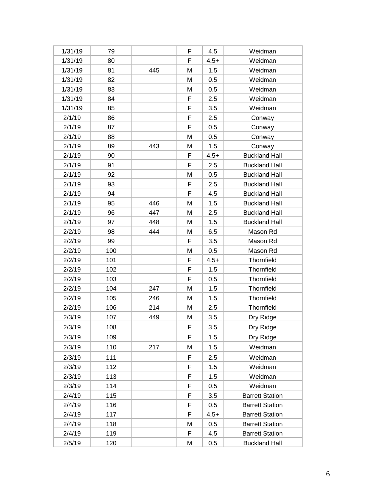| 1/31/19 | 79  |     | F  | 4.5    | Weidman                |
|---------|-----|-----|----|--------|------------------------|
| 1/31/19 | 80  |     | F  | $4.5+$ | Weidman                |
| 1/31/19 | 81  | 445 | M  | 1.5    | Weidman                |
| 1/31/19 | 82  |     | M  | 0.5    | Weidman                |
| 1/31/19 | 83  |     | M  | 0.5    | Weidman                |
| 1/31/19 | 84  |     | F  | 2.5    | Weidman                |
| 1/31/19 | 85  |     | F  | 3.5    | Weidman                |
| 2/1/19  | 86  |     | F  | 2.5    | Conway                 |
| 2/1/19  | 87  |     | F  | 0.5    | Conway                 |
| 2/1/19  | 88  |     | M  | 0.5    | Conway                 |
| 2/1/19  | 89  | 443 | M  | 1.5    | Conway                 |
| 2/1/19  | 90  |     | F  | $4.5+$ | <b>Buckland Hall</b>   |
| 2/1/19  | 91  |     | F  | 2.5    | <b>Buckland Hall</b>   |
| 2/1/19  | 92  |     | M  | 0.5    | <b>Buckland Hall</b>   |
| 2/1/19  | 93  |     | F  | 2.5    | <b>Buckland Hall</b>   |
| 2/1/19  | 94  |     | F  | 4.5    | <b>Buckland Hall</b>   |
| 2/1/19  | 95  | 446 | M  | 1.5    | <b>Buckland Hall</b>   |
| 2/1/19  | 96  | 447 | M  | 2.5    | <b>Buckland Hall</b>   |
| 2/1/19  | 97  | 448 | М  | 1.5    | <b>Buckland Hall</b>   |
| 2/2/19  | 98  | 444 | M  | 6.5    | Mason Rd               |
| 2/2/19  | 99  |     | F  | 3.5    | Mason Rd               |
| 2/2/19  | 100 |     | M  | 0.5    | Mason Rd               |
| 2/2/19  | 101 |     | F  | $4.5+$ | Thornfield             |
| 2/2/19  | 102 |     | F  | 1.5    | Thornfield             |
| 2/2/19  | 103 |     | F  | 0.5    | Thornfield             |
| 2/2/19  | 104 | 247 | M  | 1.5    | Thornfield             |
| 2/2/19  | 105 | 246 | M  | 1.5    | Thornfield             |
| 2/2/19  | 106 | 214 | M  | 2.5    | Thornfield             |
| 2/3/19  | 107 | 449 | M  | 3.5    | Dry Ridge              |
| 2/3/19  | 108 |     | F  | 3.5    | Dry Ridge              |
| 2/3/19  | 109 |     | F  | 1.5    | Dry Ridge              |
| 2/3/19  | 110 | 217 | M  | 1.5    | Weidman                |
| 2/3/19  | 111 |     | F. | 2.5    | Weidman                |
| 2/3/19  | 112 |     | F  | 1.5    | Weidman                |
| 2/3/19  | 113 |     | F  | 1.5    | Weidman                |
| 2/3/19  | 114 |     | F  | 0.5    | Weidman                |
| 2/4/19  | 115 |     | F  | 3.5    | <b>Barrett Station</b> |
| 2/4/19  | 116 |     | F  | 0.5    | <b>Barrett Station</b> |
| 2/4/19  | 117 |     | F  | $4.5+$ | <b>Barrett Station</b> |
| 2/4/19  | 118 |     | M  | 0.5    | <b>Barrett Station</b> |
| 2/4/19  | 119 |     | F. | 4.5    | <b>Barrett Station</b> |
| 2/5/19  | 120 |     | M  | 0.5    | <b>Buckland Hall</b>   |
|         |     |     |    |        |                        |